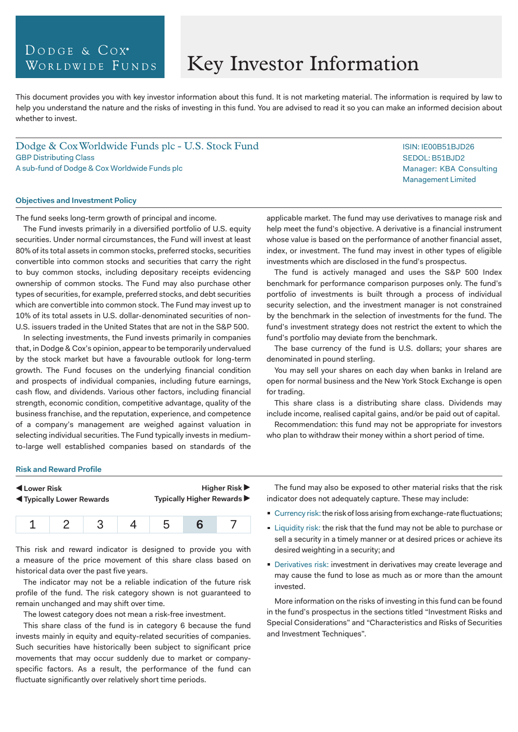# DODGE & COX<sup>®</sup> WORLDWIDE FUNDS

# Key Investor Information

This document provides you with key investor information about this fund. It is not marketing material. The information is required by law to help you understand the nature and the risks of investing in this fund. You are advised to read it so you can make an informed decision about whether to invest.

Dodge & Cox Worldwide Funds plc - U.S. Stock Fund GBP Distributing Class A sub-fund of Dodge & Cox Worldwide Funds plc

#### **Objectives and Investment Policy**

The fund seeks long-term growth of principal and income.

The Fund invests primarily in a diversified portfolio of U.S. equity securities. Under normal circumstances, the Fund will invest at least 80% of its total assets in common stocks, preferred stocks, securities convertible into common stocks and securities that carry the right to buy common stocks, including depositary receipts evidencing ownership of common stocks. The Fund may also purchase other types of securities, for example, preferred stocks, and debt securities which are convertible into common stock. The Fund may invest up to 10% of its total assets in U.S. dollar-denominated securities of non-U.S. issuers traded in the United States that are not in the S&P 500.

In selecting investments, the Fund invests primarily in companies that, in Dodge & Cox's opinion, appear to be temporarily undervalued by the stock market but have a favourable outlook for long-term growth. The Fund focuses on the underlying financial condition and prospects of individual companies, including future earnings, cash flow, and dividends. Various other factors, including financial strength, economic condition, competitive advantage, quality of the business franchise, and the reputation, experience, and competence of a company's management are weighed against valuation in selecting individual securities. The Fund typically invests in mediumto-large well established companies based on standards of the

applicable market. The fund may use derivatives to manage risk and help meet the fund's objective. A derivative is a financial instrument whose value is based on the performance of another financial asset, index, or investment. The fund may invest in other types of eligible investments which are disclosed in the fund's prospectus.

The fund is actively managed and uses the S&P 500 Index benchmark for performance comparison purposes only. The fund's portfolio of investments is built through a process of individual security selection, and the investment manager is not constrained by the benchmark in the selection of investments for the fund. The fund's investment strategy does not restrict the extent to which the fund's portfolio may deviate from the benchmark.

The base currency of the fund is U.S. dollars; your shares are denominated in pound sterling.

You may sell your shares on each day when banks in Ireland are open for normal business and the New York Stock Exchange is open for trading.

This share class is a distributing share class. Dividends may include income, realised capital gains, and/or be paid out of capital.

Recommendation: this fund may not be appropriate for investors who plan to withdraw their money within a short period of time.

#### **Risk and Reward Profile**

| Lower Risk                     | Higher Risk $\blacktriangleright$ |
|--------------------------------|-----------------------------------|
| <b>Typically Lower Rewards</b> | Typically Higher Rewards ▶        |
|                                |                                   |

| $1 \t2 \t3 \t4 \t5 \t6 \t7$ |  |  |  |
|-----------------------------|--|--|--|
|                             |  |  |  |

This risk and reward indicator is designed to provide you with a measure of the price movement of this share class based on historical data over the past five years.

The indicator may not be a reliable indication of the future risk profile of the fund. The risk category shown is not guaranteed to remain unchanged and may shift over time.

The lowest category does not mean a risk-free investment.

This share class of the fund is in category 6 because the fund invests mainly in equity and equity-related securities of companies. Such securities have historically been subject to significant price movements that may occur suddenly due to market or companyspecific factors. As a result, the performance of the fund can fluctuate significantly over relatively short time periods.

The fund may also be exposed to other material risks that the risk indicator does not adequately capture. These may include:

- Currency risk: the risk of loss arising from exchange-rate fluctuations;
- **Liquidity risk: the risk that the fund may not be able to purchase or** sell a security in a timely manner or at desired prices or achieve its desired weighting in a security; and
- **Derivatives risk: investment in derivatives may create leverage and** may cause the fund to lose as much as or more than the amount invested.

More information on the risks of investing in this fund can be found in the fund's prospectus in the sections titled "Investment Risks and Special Considerations" and "Characteristics and Risks of Securities and Investment Techniques".

ISIN: IE00B51BJD26 SEDOL: B51BJD2 Manager: KBA Consulting Management Limited